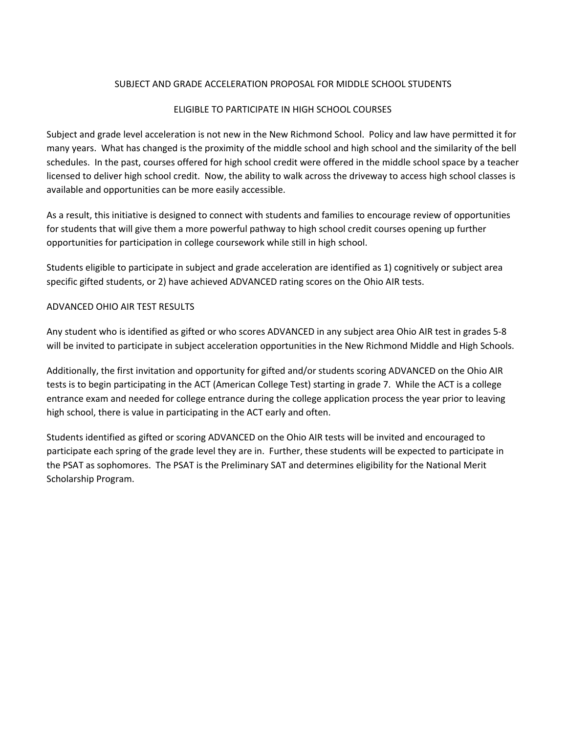#### SUBJECT AND GRADE ACCELERATION PROPOSAL FOR MIDDLE SCHOOL STUDENTS

## ELIGIBLE TO PARTICIPATE IN HIGH SCHOOL COURSES

Subject and grade level acceleration is not new in the New Richmond School. Policy and law have permitted it for many years. What has changed is the proximity of the middle school and high school and the similarity of the bell schedules. In the past, courses offered for high school credit were offered in the middle school space by a teacher licensed to deliver high school credit. Now, the ability to walk across the driveway to access high school classes is available and opportunities can be more easily accessible.

As a result, this initiative is designed to connect with students and families to encourage review of opportunities for students that will give them a more powerful pathway to high school credit courses opening up further opportunities for participation in college coursework while still in high school.

Students eligible to participate in subject and grade acceleration are identified as 1) cognitively or subject area specific gifted students, or 2) have achieved ADVANCED rating scores on the Ohio AIR tests.

## ADVANCED OHIO AIR TEST RESULTS

Any student who is identified as gifted or who scores ADVANCED in any subject area Ohio AIR test in grades 5-8 will be invited to participate in subject acceleration opportunities in the New Richmond Middle and High Schools.

Additionally, the first invitation and opportunity for gifted and/or students scoring ADVANCED on the Ohio AIR tests is to begin participating in the ACT (American College Test) starting in grade 7. While the ACT is a college entrance exam and needed for college entrance during the college application process the year prior to leaving high school, there is value in participating in the ACT early and often.

Students identified as gifted or scoring ADVANCED on the Ohio AIR tests will be invited and encouraged to participate each spring of the grade level they are in. Further, these students will be expected to participate in the PSAT as sophomores. The PSAT is the Preliminary SAT and determines eligibility for the National Merit Scholarship Program.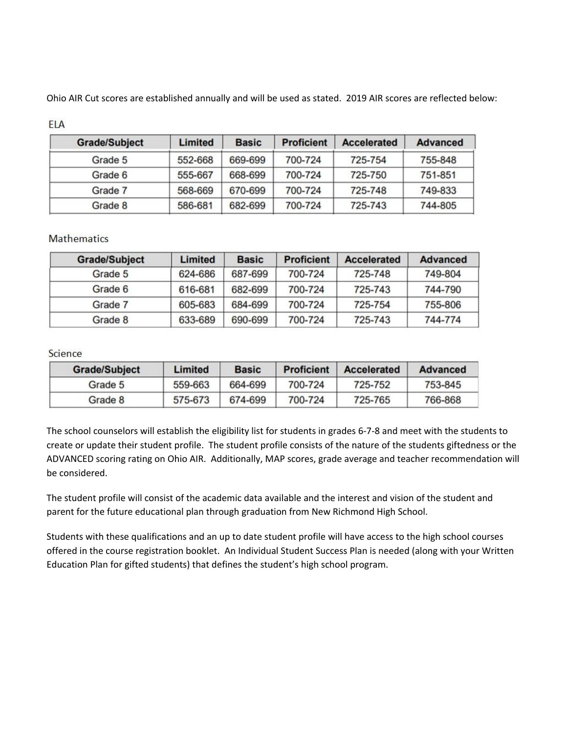Ohio AIR Cut scores are established annually and will be used as stated. 2019 AIR scores are reflected below:

| <b>Grade/Subject</b> | <b>Limited</b> | <b>Basic</b> | <b>Proficient</b> | <b>Accelerated</b> | <b>Advanced</b> |
|----------------------|----------------|--------------|-------------------|--------------------|-----------------|
| Grade 5              | 552-668        | 669-699      | 700-724           | 725-754            | 755-848         |
| Grade 6              | 555-667        | 668-699      | 700-724           | 725-750            | 751-851         |
| Grade 7              | 568-669        | 670-699      | 700-724           | 725-748            | 749-833         |
| Grade 8              | 586-681        | 682-699      | 700-724           | 725-743            | 744-805         |

## **ELA**

## **Mathematics**

| <b>Grade/Subject</b> | Limited | <b>Basic</b> | <b>Proficient</b> | <b>Accelerated</b> | <b>Advanced</b> |
|----------------------|---------|--------------|-------------------|--------------------|-----------------|
| Grade 5              | 624-686 | 687-699      | 700-724           | 725-748            | 749-804         |
| Grade 6              | 616-681 | 682-699      | 700-724           | 725-743            | 744-790         |
| Grade 7              | 605-683 | 684-699      | 700-724           | 725-754            | 755-806         |
| Grade 8              | 633-689 | 690-699      | 700-724           | 725-743            | 744-774         |

## Science

| <b>Grade/Subject</b> | Limited | <b>Basic</b> | <b>Proficient</b> | <b>Accelerated</b> | Advanced |
|----------------------|---------|--------------|-------------------|--------------------|----------|
| Grade 5              | 559-663 | 664-699      | 700-724           | 725-752            | 753-845  |
| Grade 8              | 575-673 | 674-699      | 700-724           | 725-765            | 766-868  |

The school counselors will establish the eligibility list for students in grades 6-7-8 and meet with the students to create or update their student profile. The student profile consists of the nature of the students giftedness or the ADVANCED scoring rating on Ohio AIR. Additionally, MAP scores, grade average and teacher recommendation will be considered.

The student profile will consist of the academic data available and the interest and vision of the student and parent for the future educational plan through graduation from New Richmond High School.

Students with these qualifications and an up to date student profile will have access to the high school courses offered in the course registration booklet. An Individual Student Success Plan is needed (along with your Written Education Plan for gifted students) that defines the student's high school program.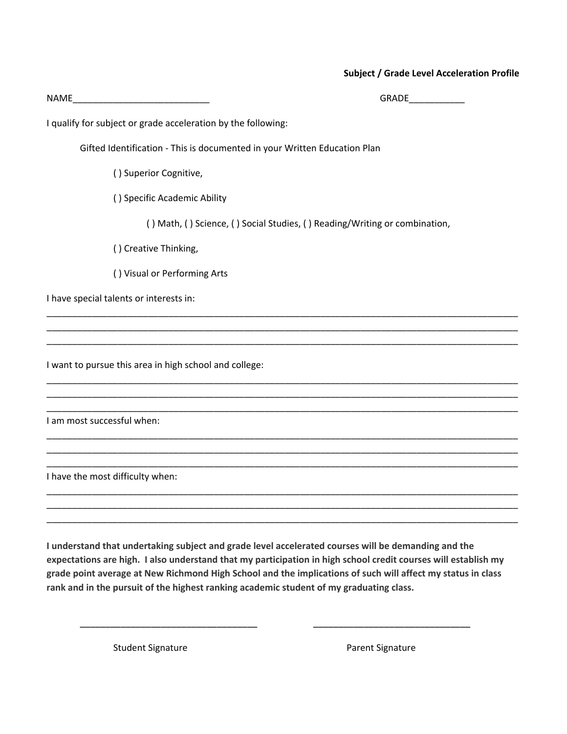#### **Subject / Grade Level Acceleration Profile**

| NAME<br><u> 1989 - Jan James, Amerikaansk politiker (d. 1989)</u> | <b>GRADE</b>                                                               |
|-------------------------------------------------------------------|----------------------------------------------------------------------------|
| I qualify for subject or grade acceleration by the following:     |                                                                            |
|                                                                   | Gifted Identification - This is documented in your Written Education Plan  |
| () Superior Cognitive,                                            |                                                                            |
| () Specific Academic Ability                                      |                                                                            |
|                                                                   | () Math, () Science, () Social Studies, () Reading/Writing or combination, |
| () Creative Thinking,                                             |                                                                            |
| () Visual or Performing Arts                                      |                                                                            |
| I have special talents or interests in:                           |                                                                            |
|                                                                   |                                                                            |
| I want to pursue this area in high school and college:            |                                                                            |
| I am most successful when:                                        |                                                                            |
| I have the most difficulty when:                                  |                                                                            |

**I understand that undertaking subject and grade level accelerated courses will be demanding and the** expectations are high. I also understand that my participation in high school credit courses will establish my grade point average at New Richmond High School and the implications of such will affect my status in class **rank and in the pursuit of the highest ranking academic student of my graduating class.**

**\_\_\_\_\_\_\_\_\_\_\_\_\_\_\_\_\_\_\_\_\_\_\_\_\_\_\_\_\_\_\_\_\_\_\_ \_\_\_\_\_\_\_\_\_\_\_\_\_\_\_\_\_\_\_\_\_\_\_\_\_\_\_\_\_\_\_**

\_\_\_\_\_\_\_\_\_\_\_\_\_\_\_\_\_\_\_\_\_\_\_\_\_\_\_\_\_\_\_\_\_\_\_\_\_\_\_\_\_\_\_\_\_\_\_\_\_\_\_\_\_\_\_\_\_\_\_\_\_\_\_\_\_\_\_\_\_\_\_\_\_\_\_\_\_\_\_\_\_\_\_\_\_\_\_\_\_\_\_\_\_

Student Signature **Parent Signature** Parent Signature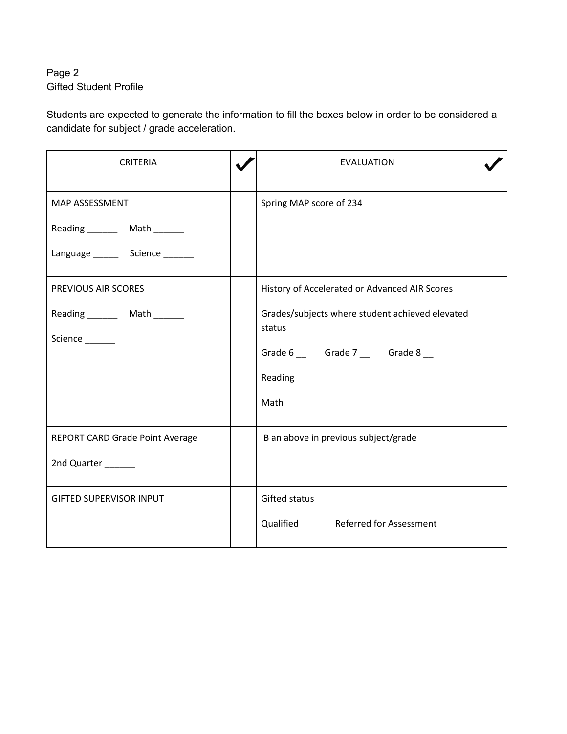# Page 2 Gifted Student Profile

Students are expected to generate the information to fill the boxes below in order to be considered a candidate for subject / grade acceleration.

| <b>CRITERIA</b>                     | <b>EVALUATION</b>                                         |  |
|-------------------------------------|-----------------------------------------------------------|--|
| MAP ASSESSMENT                      | Spring MAP score of 234                                   |  |
| Reading _______ Math ______         |                                                           |  |
| Language _________ Science ________ |                                                           |  |
| PREVIOUS AIR SCORES                 | History of Accelerated or Advanced AIR Scores             |  |
| Reading _______ Math ______         | Grades/subjects where student achieved elevated<br>status |  |
| Science ______                      |                                                           |  |
|                                     | Grade 6 _______ Grade 7 ______ Grade 8 ___                |  |
|                                     | Reading                                                   |  |
|                                     | Math                                                      |  |
| REPORT CARD Grade Point Average     | B an above in previous subject/grade                      |  |
| 2nd Quarter _____                   |                                                           |  |
| <b>GIFTED SUPERVISOR INPUT</b>      | Gifted status                                             |  |
|                                     | Qualified_________ Referred for Assessment _____          |  |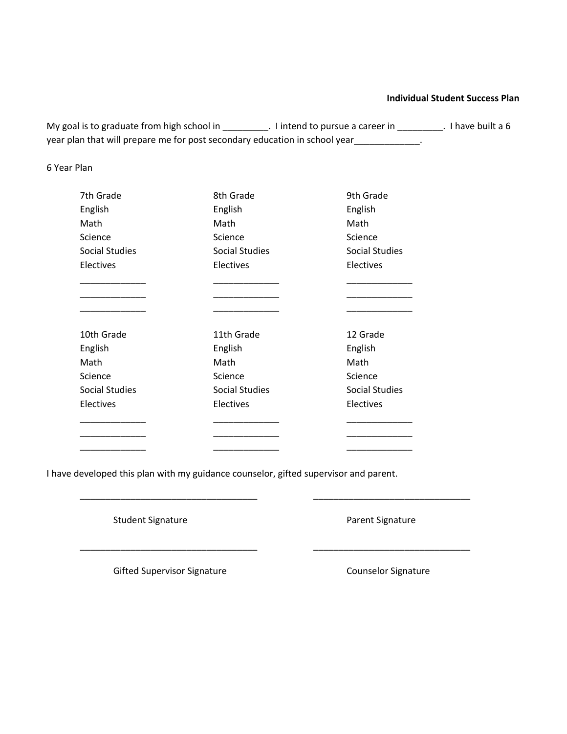#### **Individual Student Success Plan**

My goal is to graduate from high school in \_\_\_\_\_\_\_\_\_. I intend to pursue a career in \_\_\_\_\_\_\_\_\_. I have built a 6 year plan that will prepare me for post secondary education in school year\_\_\_\_\_\_\_\_\_\_\_\_\_.

6 Year Plan

| 7th Grade             | 8th Grade             | 9th Grade             |
|-----------------------|-----------------------|-----------------------|
| English               | English               | English               |
| Math                  | Math                  | Math                  |
| Science               | Science               | Science               |
| <b>Social Studies</b> | <b>Social Studies</b> | <b>Social Studies</b> |
| Electives             | Electives             | Electives             |
|                       |                       |                       |
|                       |                       |                       |
| 10th Grade            | 11th Grade            | 12 Grade              |
| English               | English               | English               |
| Math                  | Math                  | Math                  |
| Science               | Science               | Science               |
| <b>Social Studies</b> | <b>Social Studies</b> | <b>Social Studies</b> |
| Electives             | Electives             | Electives             |
|                       |                       |                       |
|                       |                       |                       |
|                       |                       |                       |

I have developed this plan with my guidance counselor, gifted supervisor and parent.

**\_\_\_\_\_\_\_\_\_\_\_\_\_\_\_\_\_\_\_\_\_\_\_\_\_\_\_\_\_\_\_\_\_\_\_ \_\_\_\_\_\_\_\_\_\_\_\_\_\_\_\_\_\_\_\_\_\_\_\_\_\_\_\_\_\_\_**

**\_\_\_\_\_\_\_\_\_\_\_\_\_\_\_\_\_\_\_\_\_\_\_\_\_\_\_\_\_\_\_\_\_\_\_ \_\_\_\_\_\_\_\_\_\_\_\_\_\_\_\_\_\_\_\_\_\_\_\_\_\_\_\_\_\_\_**

Student Signature **Parent Signature** Parent Signature

Gifted Supervisor Signature Counselor Signature Counselor Signature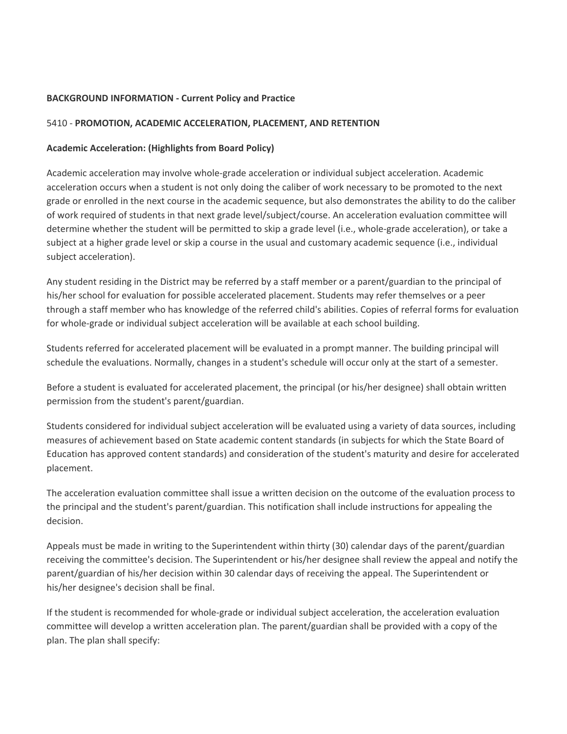#### **BACKGROUND INFORMATION - Current Policy and Practice**

#### 5410 - **PROMOTION, ACADEMIC ACCELERATION, PLACEMENT, AND RETENTION**

#### **Academic Acceleration: (Highlights from Board Policy)**

Academic acceleration may involve whole-grade acceleration or individual subject acceleration. Academic acceleration occurs when a student is not only doing the caliber of work necessary to be promoted to the next grade or enrolled in the next course in the academic sequence, but also demonstrates the ability to do the caliber of work required of students in that next grade level/subject/course. An acceleration evaluation committee will determine whether the student will be permitted to skip a grade level (i.e., whole-grade acceleration), or take a subject at a higher grade level or skip a course in the usual and customary academic sequence (i.e., individual subject acceleration).

Any student residing in the District may be referred by a staff member or a parent/guardian to the principal of his/her school for evaluation for possible accelerated placement. Students may refer themselves or a peer through a staff member who has knowledge of the referred child's abilities. Copies of referral forms for evaluation for whole-grade or individual subject acceleration will be available at each school building.

Students referred for accelerated placement will be evaluated in a prompt manner. The building principal will schedule the evaluations. Normally, changes in a student's schedule will occur only at the start of a semester.

Before a student is evaluated for accelerated placement, the principal (or his/her designee) shall obtain written permission from the student's parent/guardian.

Students considered for individual subject acceleration will be evaluated using a variety of data sources, including measures of achievement based on State academic content standards (in subjects for which the State Board of Education has approved content standards) and consideration of the student's maturity and desire for accelerated placement.

The acceleration evaluation committee shall issue a written decision on the outcome of the evaluation process to the principal and the student's parent/guardian. This notification shall include instructions for appealing the decision.

Appeals must be made in writing to the Superintendent within thirty (30) calendar days of the parent/guardian receiving the committee's decision. The Superintendent or his/her designee shall review the appeal and notify the parent/guardian of his/her decision within 30 calendar days of receiving the appeal. The Superintendent or his/her designee's decision shall be final.

If the student is recommended for whole-grade or individual subject acceleration, the acceleration evaluation committee will develop a written acceleration plan. The parent/guardian shall be provided with a copy of the plan. The plan shall specify: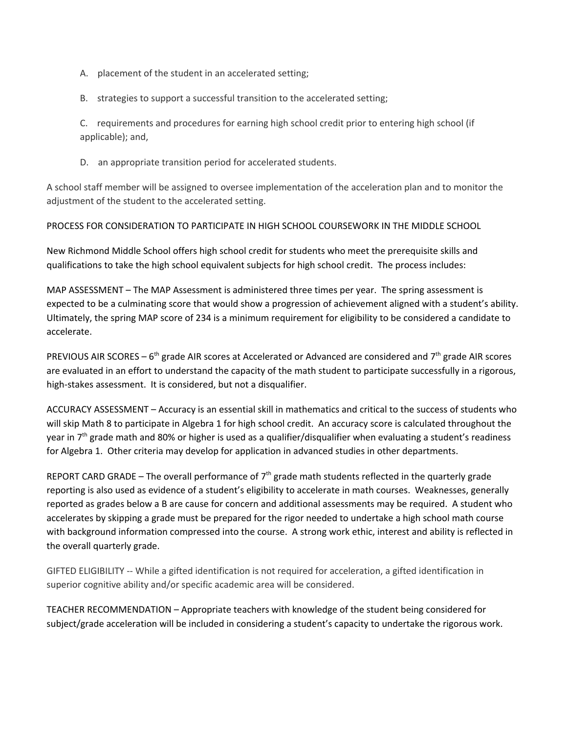- A. placement of the student in an accelerated setting;
- B. strategies to support a successful transition to the accelerated setting;

C. requirements and procedures for earning high school credit prior to entering high school (if applicable); and,

D. an appropriate transition period for accelerated students.

A school staff member will be assigned to oversee implementation of the acceleration plan and to monitor the adjustment of the student to the accelerated setting.

## PROCESS FOR CONSIDERATION TO PARTICIPATE IN HIGH SCHOOL COURSEWORK IN THE MIDDLE SCHOOL

New Richmond Middle School offers high school credit for students who meet the prerequisite skills and qualifications to take the high school equivalent subjects for high school credit. The process includes:

MAP ASSESSMENT – The MAP Assessment is administered three times per year. The spring assessment is expected to be a culminating score that would show a progression of achievement aligned with a student's ability. Ultimately, the spring MAP score of 234 is a minimum requirement for eligibility to be considered a candidate to accelerate.

PREVIOUS AIR SCORES – 6<sup>th</sup> grade AIR scores at Accelerated or Advanced are considered and 7<sup>th</sup> grade AIR scores are evaluated in an effort to understand the capacity of the math student to participate successfully in a rigorous, high-stakes assessment. It is considered, but not a disqualifier.

ACCURACY ASSESSMENT – Accuracy is an essential skill in mathematics and critical to the success of students who will skip Math 8 to participate in Algebra 1 for high school credit. An accuracy score is calculated throughout the year in 7<sup>th</sup> grade math and 80% or higher is used as a qualifier/disqualifier when evaluating a student's readiness for Algebra 1. Other criteria may develop for application in advanced studies in other departments.

REPORT CARD GRADE – The overall performance of  $7<sup>th</sup>$  grade math students reflected in the quarterly grade reporting is also used as evidence of a student's eligibility to accelerate in math courses. Weaknesses, generally reported as grades below a B are cause for concern and additional assessments may be required. A student who accelerates by skipping a grade must be prepared for the rigor needed to undertake a high school math course with background information compressed into the course. A strong work ethic, interest and ability is reflected in the overall quarterly grade.

GIFTED ELIGIBILITY -- While a gifted identification is not required for acceleration, a gifted identification in superior cognitive ability and/or specific academic area will be considered.

TEACHER RECOMMENDATION – Appropriate teachers with knowledge of the student being considered for subject/grade acceleration will be included in considering a student's capacity to undertake the rigorous work.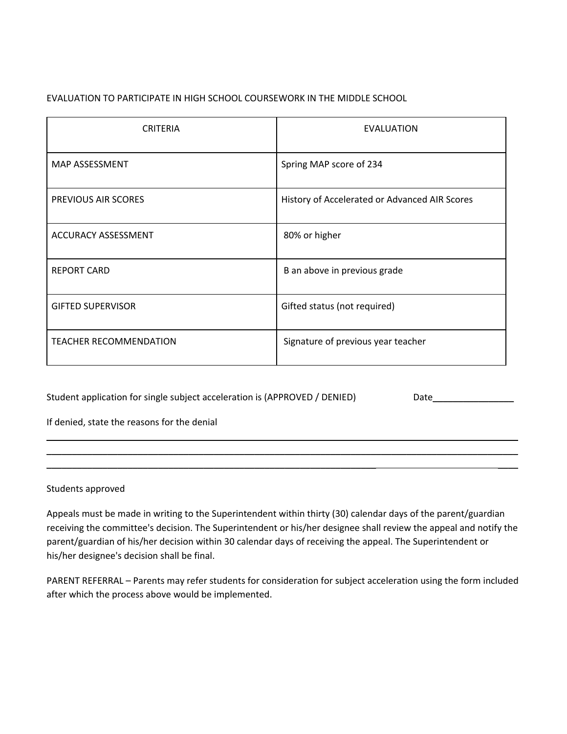## EVALUATION TO PARTICIPATE IN HIGH SCHOOL COURSEWORK IN THE MIDDLE SCHOOL

| <b>CRITERIA</b>               | EVALUATION                                    |
|-------------------------------|-----------------------------------------------|
| MAP ASSESSMENT                | Spring MAP score of 234                       |
| PREVIOUS AIR SCORES           | History of Accelerated or Advanced AIR Scores |
| <b>ACCURACY ASSESSMENT</b>    | 80% or higher                                 |
| <b>REPORT CARD</b>            | B an above in previous grade                  |
| <b>GIFTED SUPERVISOR</b>      | Gifted status (not required)                  |
| <b>TEACHER RECOMMENDATION</b> | Signature of previous year teacher            |

Student application for single subject acceleration is (APPROVED / DENIED) Date\_\_\_\_\_\_\_\_\_\_\_\_\_\_\_\_\_\_\_\_

If denied, state the reasons for the denial

#### Students approved

Appeals must be made in writing to the Superintendent within thirty (30) calendar days of the parent/guardian receiving the committee's decision. The Superintendent or his/her designee shall review the appeal and notify the parent/guardian of his/her decision within 30 calendar days of receiving the appeal. The Superintendent or his/her designee's decision shall be final.

\_\_\_\_\_\_\_\_\_\_\_\_\_\_\_\_\_\_\_\_\_\_\_\_\_\_\_\_\_\_\_\_\_\_\_\_\_\_\_\_\_\_\_\_\_\_\_\_\_\_\_\_\_\_\_\_\_\_\_\_\_\_\_\_\_\_\_\_\_\_\_\_\_\_\_\_\_\_\_\_\_\_\_\_\_\_\_\_\_\_\_\_\_ \_\_\_\_\_\_\_\_\_\_\_\_\_\_\_\_\_\_\_\_\_\_\_\_\_\_\_\_\_\_\_\_\_\_\_\_\_\_\_\_\_\_\_\_\_\_\_\_\_\_\_\_\_\_\_\_\_\_\_\_\_\_\_\_\_\_\_\_\_\_\_\_\_\_\_\_\_\_\_\_\_\_\_\_\_\_\_\_\_\_\_\_\_ \_\_\_\_\_\_\_\_\_\_\_\_\_\_\_\_\_\_\_\_\_\_\_\_\_\_\_\_\_\_\_\_\_\_\_\_\_\_\_\_\_\_\_\_\_\_\_\_\_\_\_\_\_\_\_\_\_\_\_\_\_\_\_\_\_ \_\_\_\_

PARENT REFERRAL – Parents may refer students for consideration for subject acceleration using the form included after which the process above would be implemented.